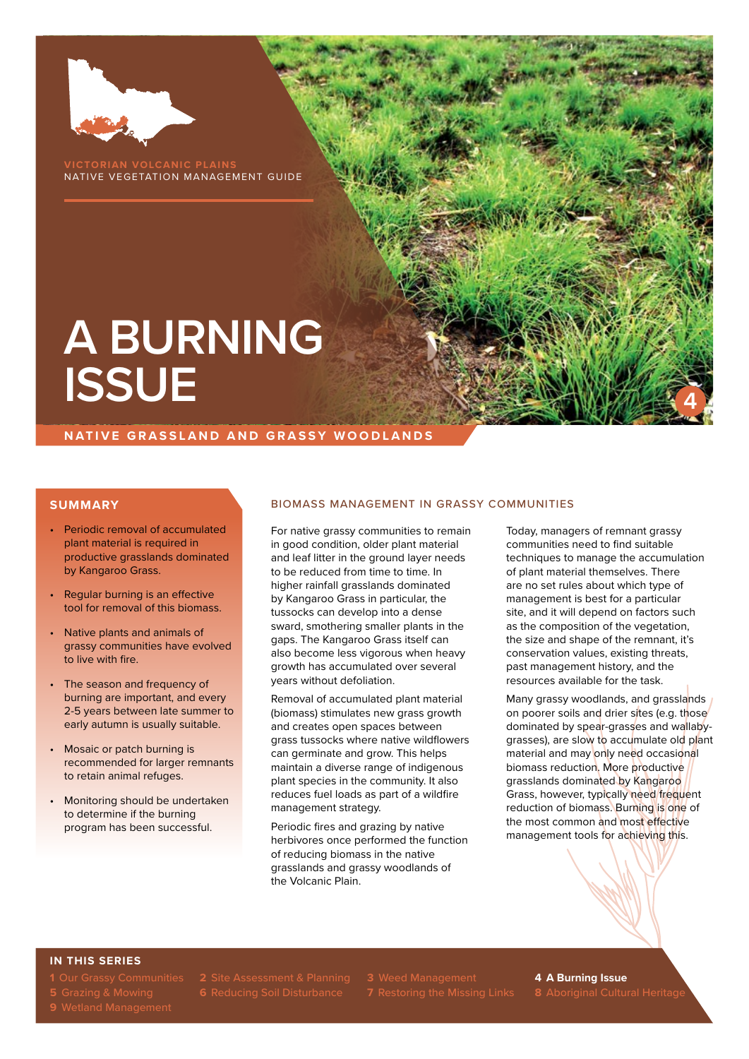

**VICTORIAN VOLCANIC PLAINS** NATIVE VEGETATION MANAGEMENT GUIDE

# **A BURNING ISSUE**

**NATIVE GRASSLAND AND GRASSY WOODLANDS**

### **SUMMARY**

- Periodic removal of accumulated plant material is required in productive grasslands dominated by Kangaroo Grass.
- Regular burning is an effective tool for removal of this biomass.
- Native plants and animals of grassy communities have evolved to live with fire.
- The season and frequency of burning are important, and every 2-5 years between late summer to early autumn is usually suitable.
- Mosaic or patch burning is recommended for larger remnants to retain animal refuges.
- Monitoring should be undertaken to determine if the burning program has been successful.

### BIOMASS MANAGEMENT IN GRASSY COMMUNITIES

For native grassy communities to remain in good condition, older plant material and leaf litter in the ground layer needs to be reduced from time to time. In higher rainfall grasslands dominated by Kangaroo Grass in particular, the tussocks can develop into a dense sward, smothering smaller plants in the gaps. The Kangaroo Grass itself can also become less vigorous when heavy growth has accumulated over several years without defoliation.

Removal of accumulated plant material (biomass) stimulates new grass growth and creates open spaces between grass tussocks where native wildflowers can germinate and grow. This helps maintain a diverse range of indigenous plant species in the community. It also reduces fuel loads as part of a wildfire management strategy.

Periodic fires and grazing by native herbivores once performed the function of reducing biomass in the native grasslands and grassy woodlands of the Volcanic Plain.

Today, managers of remnant grassy communities need to find suitable techniques to manage the accumulation of plant material themselves. There are no set rules about which type of management is best for a particular site, and it will depend on factors such as the composition of the vegetation, the size and shape of the remnant, it's conservation values, existing threats, past management history, and the resources available for the task.

**4**

Many grassy woodlands, and grasslands on poorer soils and drier sites (e.g. those dominated by spear-grasses and wallabygrasses), are slow to accumulate old plant material and may only need occasional biomass reduction. More productive grasslands dominated by Kangaroo Grass, however, typically need frequent reduction of biomass. Burning is one of the most common and most effective management tools for achieving this.

### **IN THIS SERIES**

**1** Our Grassy Communities **2** Site Assessment & Planning **3** Weed Management **4 A Burning Issue**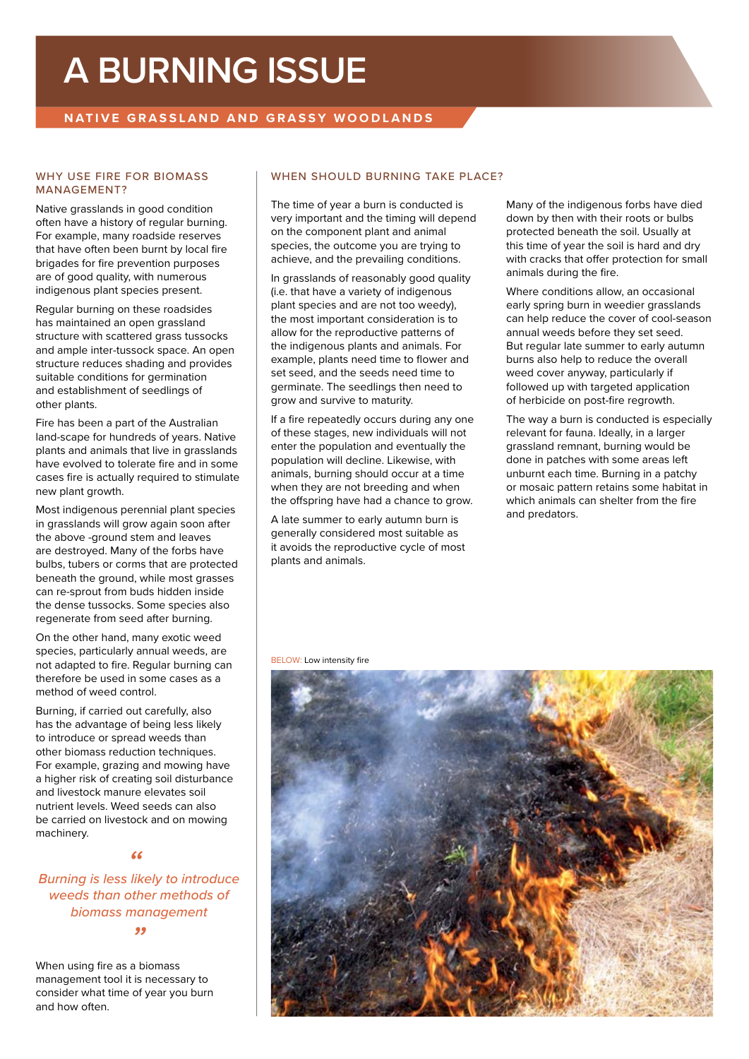# **A BURNING ISSUE**

## **NATIVE GRASSLAND AND GRASSY WOODLANDS**

### WHY USE FIRE FOR BIOMASS MANAGEMENT?

Native grasslands in good condition often have a history of regular burning. For example, many roadside reserves that have often been burnt by local fire brigades for fire prevention purposes are of good quality, with numerous indigenous plant species present.

Regular burning on these roadsides has maintained an open grassland structure with scattered grass tussocks and ample inter-tussock space. An open structure reduces shading and provides suitable conditions for germination and establishment of seedlings of other plants.

Fire has been a part of the Australian land-scape for hundreds of years. Native plants and animals that live in grasslands have evolved to tolerate fire and in some cases fire is actually required to stimulate new plant growth.

Most indigenous perennial plant species in grasslands will grow again soon after the above -ground stem and leaves are destroyed. Many of the forbs have bulbs, tubers or corms that are protected beneath the ground, while most grasses can re-sprout from buds hidden inside the dense tussocks. Some species also regenerate from seed after burning.

On the other hand, many exotic weed species, particularly annual weeds, are not adapted to fire. Regular burning can therefore be used in some cases as a method of weed control.

Burning, if carried out carefully, also has the advantage of being less likely to introduce or spread weeds than other biomass reduction techniques. For example, grazing and mowing have a higher risk of creating soil disturbance and livestock manure elevates soil nutrient levels. Weed seeds can also be carried on livestock and on mowing machinery.

*Burning is less likely to introduce " weeds than other methods of biomass management*

*"*

When using fire as a biomass management tool it is necessary to consider what time of year you burn and how often.

### WHEN SHOULD BURNING TAKE PLACE?

The time of year a burn is conducted is very important and the timing will depend on the component plant and animal species, the outcome you are trying to achieve, and the prevailing conditions.

In grasslands of reasonably good quality (i.e. that have a variety of indigenous plant species and are not too weedy), the most important consideration is to allow for the reproductive patterns of the indigenous plants and animals. For example, plants need time to flower and set seed, and the seeds need time to germinate. The seedlings then need to grow and survive to maturity.

If a fire repeatedly occurs during any one of these stages, new individuals will not enter the population and eventually the population will decline. Likewise, with animals, burning should occur at a time when they are not breeding and when the offspring have had a chance to grow.

A late summer to early autumn burn is generally considered most suitable as it avoids the reproductive cycle of most plants and animals.

Many of the indigenous forbs have died down by then with their roots or bulbs protected beneath the soil. Usually at this time of year the soil is hard and dry with cracks that offer protection for small animals during the fire.

Where conditions allow, an occasional early spring burn in weedier grasslands can help reduce the cover of cool-season annual weeds before they set seed. But regular late summer to early autumn burns also help to reduce the overall weed cover anyway, particularly if followed up with targeted application of herbicide on post-fire regrowth.

The way a burn is conducted is especially relevant for fauna. Ideally, in a larger grassland remnant, burning would be done in patches with some areas left unburnt each time. Burning in a patchy or mosaic pattern retains some habitat in which animals can shelter from the fire and predators.

BELOW: Low intensity fire

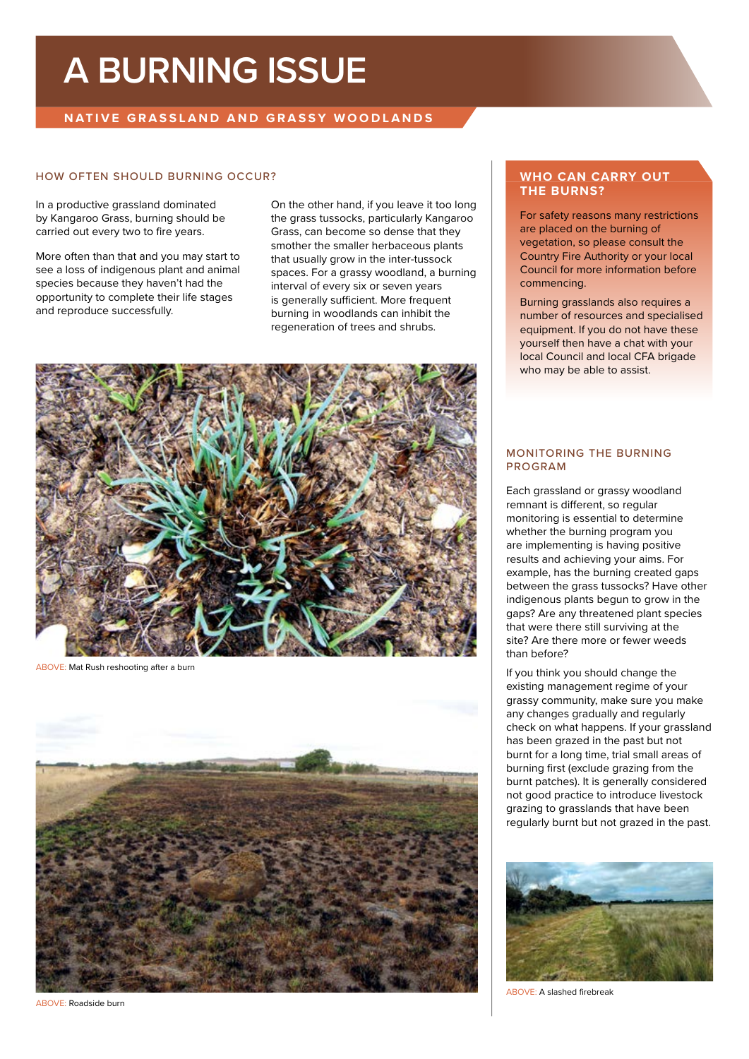# **A BURNING ISSUE**

## **NATIVE GRASSLAND AND GRASSY WOODLANDS**

### HOW OFTEN SHOULD BURNING OCCUR?

In a productive grassland dominated by Kangaroo Grass, burning should be carried out every two to fire years.

More often than that and you may start to see a loss of indigenous plant and animal species because they haven't had the opportunity to complete their life stages and reproduce successfully.

On the other hand, if you leave it too long the grass tussocks, particularly Kangaroo Grass, can become so dense that they smother the smaller herbaceous plants that usually grow in the inter-tussock spaces. For a grassy woodland, a burning interval of every six or seven years is generally sufficient. More frequent burning in woodlands can inhibit the regeneration of trees and shrubs.



ABOVE: Mat Rush reshooting after a burn



ABOVE: Roadside burn

### **WHO CAN CARRY OUT THE BURNS?**

For safety reasons many restrictions are placed on the burning of vegetation, so please consult the Country Fire Authority or your local Council for more information before commencing.

Burning grasslands also requires a number of resources and specialised equipment. If you do not have these yourself then have a chat with your local Council and local CFA brigade who may be able to assist.

### MONITORING THE BURNING PROGRAM

Each grassland or grassy woodland remnant is different, so regular monitoring is essential to determine whether the burning program you are implementing is having positive results and achieving your aims. For example, has the burning created gaps between the grass tussocks? Have other indigenous plants begun to grow in the gaps? Are any threatened plant species that were there still surviving at the site? Are there more or fewer weeds than before?

If you think you should change the existing management regime of your grassy community, make sure you make any changes gradually and regularly check on what happens. If your grassland has been grazed in the past but not burnt for a long time, trial small areas of burning first (exclude grazing from the burnt patches). It is generally considered not good practice to introduce livestock grazing to grasslands that have been regularly burnt but not grazed in the past.



ABOVE: A slashed firebreak